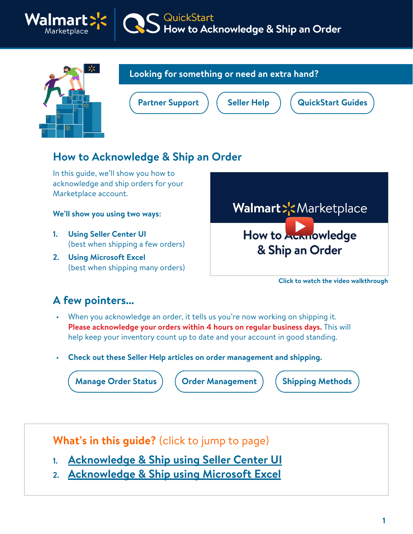



### **Looking for something or need an extra hand?**

QuickStart<br>How to Acknowledge & Ship an Order

# **How to Acknowledge & Ship an Order**

In this guide, we'll show you how to acknowledge and ship orders for your Marketplace account.

#### **We'll show you using two ways:**

- **1. Using Seller Center UI**  (best when shipping a few orders)
- **2. Using Microsoft Excel**  (best when shipping many orders)



**Click to watch the video walkthrough**

### **A few pointers...**

- When you acknowledge an order, it tells us you're now working on shipping it. **Please acknowledge your orders within 4 hours on regular business days.** This will help keep your inventory count up to date and your account in good standing.
- **Check out these Seller Help articles on order management and shipping.**

**[Manage Order Status](https://sellerhelp.walmart.com/seller/s/guide?article=000007160)** ) ( [Order Management](https://sellerhelp.walmart.com/seller/s/guide?article=000006433) ) ( [Shipping Methods](https://sellerhelp.walmart.com/seller/s/guide?article=000007893)

**What's in this guide?** (click to jump to page)

- **1. [Acknowledge & Ship using Seller Center UI](#page-1-0)**
- **2. [Acknowledge & Ship using Microsoft Excel](#page-4-0)**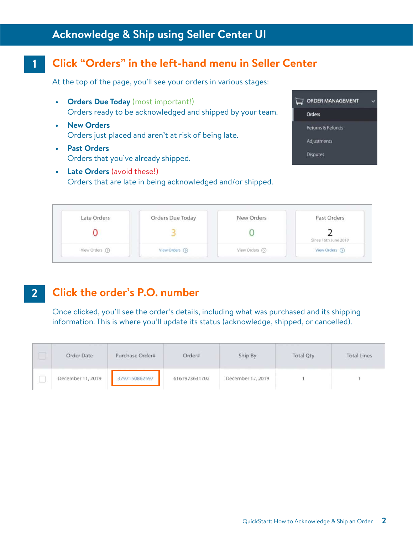### <span id="page-1-0"></span>**Acknowledge & Ship using Seller Center UI**

#### **Click "Orders" in the left-hand menu in Seller Center 1**

At the top of the page, you'll see your orders in various stages:

- **Orders Due Today** (most important!) Orders ready to be acknowledged and shipped by your team.
- **New Orders**  Orders just placed and aren't at risk of being late.
- **Past Orders**  Orders that you've already shipped.
- **Late Orders** (avoid these!) Orders that are late in being acknowledged and/or shipped.



| Late Orders   | Orders Due Today | New Orders      | Past Orders          |
|---------------|------------------|-----------------|----------------------|
|               |                  |                 | Since 16th June 2019 |
| View Orders ( | View Orders (O)  | View Orders (5) | View Orders (2)      |

#### **Click the order's P.O. number 2**

Once clicked, you'll see the order's details, including what was purchased and its shipping information. This is where you'll update its status (acknowledge, shipped, or cancelled).

|         | Order Date        | Purchase Order#<br><b>CONTRACTOR</b> | Order#        | Ship By           | <b>Total Qty</b> | <b>Total Lines</b> |
|---------|-------------------|--------------------------------------|---------------|-------------------|------------------|--------------------|
| Ā<br>لب | December 11, 2019 | 3797150862597                        | 6161923631702 | December 12, 2019 |                  |                    |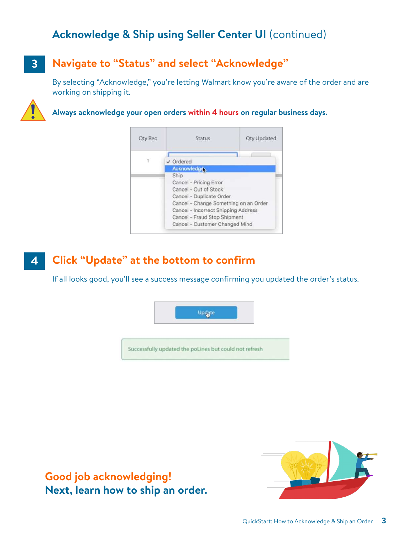# **Acknowledge & Ship using Seller Center UI** (continued)

#### **Navigate to "Status" and select "Acknowledge" 3**

By selecting "Acknowledge," you're letting Walmart know you're aware of the order and are working on shipping it.



#### **Always acknowledge your open orders within 4 hours on regular business days.**

| <b>Qty Reg</b> | Status                                | <b>Qty Updated</b> |  |  |  |  |  |  |
|----------------|---------------------------------------|--------------------|--|--|--|--|--|--|
|                |                                       |                    |  |  |  |  |  |  |
| $\mathbf{1}$   | $\vee$ Ordered                        |                    |  |  |  |  |  |  |
|                | <b>Acknowledge</b>                    |                    |  |  |  |  |  |  |
|                | Ship                                  |                    |  |  |  |  |  |  |
|                | Cancel - Pricing Error                |                    |  |  |  |  |  |  |
|                | Cancel - Out of Stock                 |                    |  |  |  |  |  |  |
|                | Cancel - Duplicate Order              |                    |  |  |  |  |  |  |
|                | Cancel - Change Something on an Order |                    |  |  |  |  |  |  |
|                | Cancel - Incorrect Shipping Address   |                    |  |  |  |  |  |  |
|                | Cancel - Fraud Stop Shipment          |                    |  |  |  |  |  |  |
|                | Cancel - Customer Changed Mind        |                    |  |  |  |  |  |  |

#### **Click "Update" at the bottom to confirm 4**

If all looks good, you'll see a success message confirming you updated the order's status.



**Good job acknowledging! Next, learn how to ship an order.**

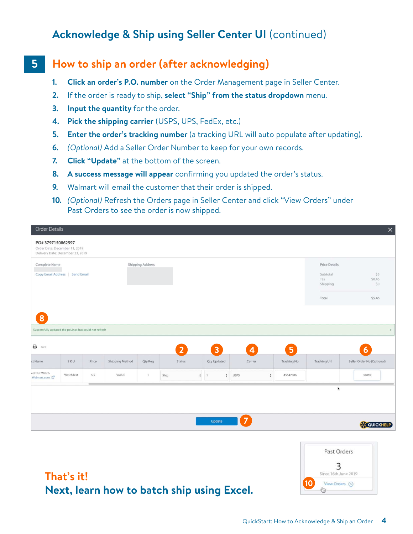# **Acknowledge & Ship using Seller Center UI** (continued)

#### **5 How to ship an order (after acknowledging)**

- **1. Click an order's P.O. number** on the Order Management page in Seller Center.
- **2.** If the order is ready to ship, **select "Ship" from the status dropdown** menu.
- **3. Input the quantity** for the order.
- **4. Pick the shipping carrier** (USPS, UPS, FedEx, etc.)
- **5.** Enter the order's tracking number (a tracking URL will auto populate after updating).
- **6.** *(Optional)* Add a Seller Order Number to keep for your own records.
- **7. Click "Update"** at the bottom of the screen.
- **8. A success message will appear** confirming you updated the order's status.
- **9.** Walmart will email the customer that their order is shipped.
- **10.** *(Optional)* Refresh the Orders page in Seller Center and click "View Orders" under Past Orders to see the order is now shipped.

| Order Details                                                                         |           |        |                 |                         |      |                |                                     |      |                          |                    |                                                              | $\times$                      |
|---------------------------------------------------------------------------------------|-----------|--------|-----------------|-------------------------|------|----------------|-------------------------------------|------|--------------------------|--------------------|--------------------------------------------------------------|-------------------------------|
| PO#3797150862597<br>Order Date: December 11, 2019<br>Delivery Date: December 23, 2019 |           |        |                 |                         |      |                |                                     |      |                          |                    |                                                              |                               |
| Complete Name<br>Copy Email Address   Send Email                                      |           |        |                 | <b>Shipping Address</b> |      |                |                                     |      |                          |                    | <b>Price Details</b><br>Subtotal<br>Tax<br>Shipping<br>Total | \$5<br>\$0.46<br>SO<br>\$5.46 |
| 8<br>Successfully updated the poLines but could not refresh                           |           |        |                 |                         |      |                |                                     |      |                          |                    |                                                              | $\mathbf x$                   |
| $\bigoplus$ Print                                                                     |           |        |                 |                         |      | $\overline{2}$ | $\overline{3}$                      |      | $\overline{\mathcal{A}}$ | 5 <sup>1</sup>     |                                                              | 6                             |
| ct Name                                                                               | SKU       | Price  | Shipping Method | Qty Req                 |      | Status         | Qty Updated                         |      | Carrier                  | Tracking No        | <b>Tracking Url</b>                                          | Seller Order No (Optional)    |
| ed Test Watch<br>Walmart.com                                                          | WatchTest | \$5    | VALUE           | $\mathbf{1}$            | Ship |                | $\frac{4}{7}$ 1<br>$\ddot{\bullet}$ | USPS |                          | 45647586<br>$\div$ |                                                              | 34897                         |
|                                                                                       |           | $\sim$ |                 |                         |      |                |                                     |      |                          |                    | ¥                                                            |                               |
|                                                                                       |           |        |                 |                         |      |                | Update                              | 7    |                          |                    |                                                              | <b>CC QUICKHELP</b>           |
|                                                                                       |           |        |                 |                         |      |                |                                     |      |                          | $\sim$             |                                                              |                               |



### **That's it! Next, learn how to batch ship using Excel.**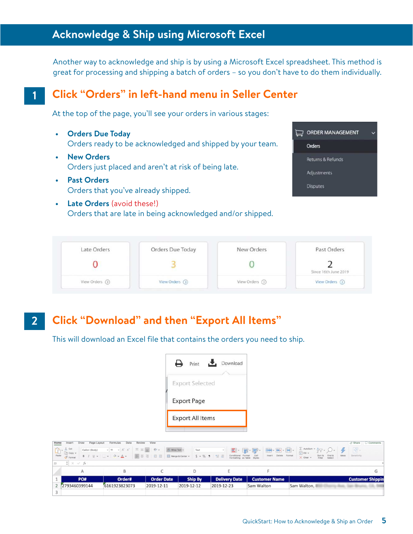### <span id="page-4-0"></span>**Acknowledge & Ship using Microsoft Excel**

Another way to acknowledge and ship is by using a Microsoft Excel spreadsheet. This method is great for processing and shipping a batch of orders – so you don't have to do them individually.

### **Click "Orders" in left-hand menu in Seller Center**

At the top of the page, you'll see your orders in various stages:

- **Orders Due Today** Orders ready to be acknowledged and shipped by your team.
- **New Orders**  Orders just placed and aren't at risk of being late.
- **Past Orders**  Orders that you've already shipped.

**1**

**• Late Orders** (avoid these!) Orders that are late in being acknowledged and/or shipped.



| Late Orders   | Orders Due Today | New Orders      | Past Orders          |
|---------------|------------------|-----------------|----------------------|
|               |                  |                 | Since 16th June 2019 |
| View Orders ( | View Orders (O)  | View Orders (5) | View Orders (2)      |

#### **Click "Download" and then "Export All Items" 2**

This will download an Excel file that contains the orders you need to ship.



| Home | Page Layout<br>Insert<br>Draw                                                                                                                                                                      | Review<br>Data<br>Formulas                                                                                        | View              |            |                |                                                                                           |            |                      |                          |                                         |                       | $A$ Share $C$ Comments  |
|------|----------------------------------------------------------------------------------------------------------------------------------------------------------------------------------------------------|-------------------------------------------------------------------------------------------------------------------|-------------------|------------|----------------|-------------------------------------------------------------------------------------------|------------|----------------------|--------------------------|-----------------------------------------|-----------------------|-------------------------|
|      | $\begin{array}{c}\n\hline\n\text{Out}\n\\ \n\text{Paste}\n\end{array}\n\quad\n\begin{array}{c}\n\hline\n\text{Out}\n\\ \n\text{Copy}\n\\ \n\hline\n\text{F format}\n\end{array}$<br>Calibri (Body) | $\vee$ 11 $\vee$ A' A' $\equiv \equiv \equiv$ $\Rightarrow$ $\vee$ $\Rightarrow$ $\frac{35}{20}$ Wrap Text $\vee$ |                   |            | Text           | $\blacksquare$ $\blacksquare$ $\blacksquare$ $\blacksquare$ $\blacksquare$ $\blacksquare$ |            |                      | ■ 图·国· Filler 2F · Q · 4 |                                         | $\boxed{\bullet_0^2}$ |                         |
|      |                                                                                                                                                                                                    | <b>BIU</b> v H v A v 国 三 三 三 三 国 Merge & Center v S v % 9 協 <sup>8</sup>                                          |                   |            |                | Conditional Format Cell<br>Formatting as Table Styles                                     |            | Insert Delete Format | $\times$ Clear $\times$  | Sort & Find &<br>Filter Select<br>Ideas | Sensitivity           |                         |
|      | $\frac{1}{x} \times \sqrt{f}x$                                                                                                                                                                     |                                                                                                                   |                   |            |                |                                                                                           |            |                      |                          |                                         |                       |                         |
|      |                                                                                                                                                                                                    | B                                                                                                                 |                   |            |                |                                                                                           |            |                      |                          |                                         |                       |                         |
|      | PO#                                                                                                                                                                                                | Order#                                                                                                            | <b>Order Date</b> |            | <b>Ship By</b> | <b>Delivery Date</b>                                                                      |            | <b>Customer Name</b> |                          |                                         |                       | <b>Customer Shippin</b> |
|      | 2 2793460399144                                                                                                                                                                                    | 6161923823073                                                                                                     | 2019-12-11        | 2019-12-12 |                | 2019-12-23                                                                                | Sam Walton |                      | Sam Walton.              |                                         |                       | Aug. San Bruno, CA, 94  |
|      |                                                                                                                                                                                                    |                                                                                                                   |                   |            |                |                                                                                           |            |                      |                          |                                         |                       |                         |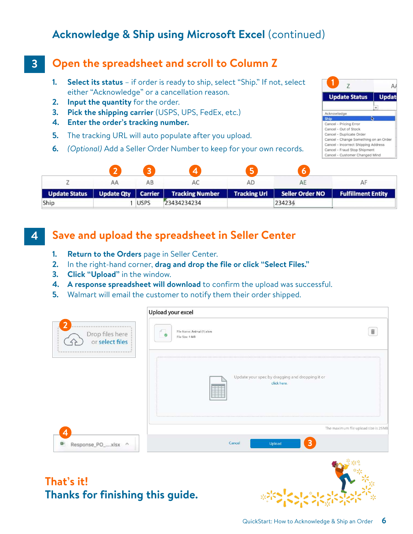# **Acknowledge & Ship using Microsoft Excel** (continued)

#### **Open the spreadsheet and scroll to Column Z 3**

- **1. Select its status** if order is ready to ship, select "Ship." If not, select either "Acknowledge" or a cancellation reason.
- **2. Input the quantity** for the order.
- **3. Pick the shipping carrier** (USPS, UPS, FedEx, etc.)
- **4. Enter the order's tracking number.**
- **5.** The tracking URL will auto populate after you upload.
- **6.** *(Optional)* Add a Seller Order Number to keep for your own records.



|                      |             | V.                                     |                     |                 |                           |
|----------------------|-------------|----------------------------------------|---------------------|-----------------|---------------------------|
|                      | AВ          | AC                                     | AD                  | AE              | AF                        |
| <b>Update Status</b> |             | Update Qty   Carrier   Tracking Number | <b>Tracking Url</b> | Seller Order NO | <b>Fulfillment Entity</b> |
| Ship                 | <b>USPS</b> | 23434234234                            |                     | 234234          |                           |

#### **Save and upload the spreadsheet in Seller Center 4**

- **1. Return to the Orders** page in Seller Center.
- **2.** In the right-hand corner, **drag and drop the file or click "Select Files."**
- **3. Click "Upload"** in the window.
- **4. A response spreadsheet will download** to confirm the upload was successful.
- **5.** Walmart will email the customer to notify them their order shipped.

|                                                                                                                 | Upload your excel                                              |
|-----------------------------------------------------------------------------------------------------------------|----------------------------------------------------------------|
| that when they they want them with that when them they want them when the<br>Drop files here<br>or select files | File Name: Animal (1).xlsm<br>$\bullet$<br>File Size: 1 MB     |
|                                                                                                                 | Update your spec by dragging and dropping it or<br>click here. |
| 4                                                                                                               | The maximum file upload size is 25MB                           |
| Đ.<br>Response_PO_xlsx ^                                                                                        | 3<br>Cancel<br>Upload                                          |
|                                                                                                                 | <b>ALL</b> STORES                                              |

# **That's it! Thanks for finishing this guide.**